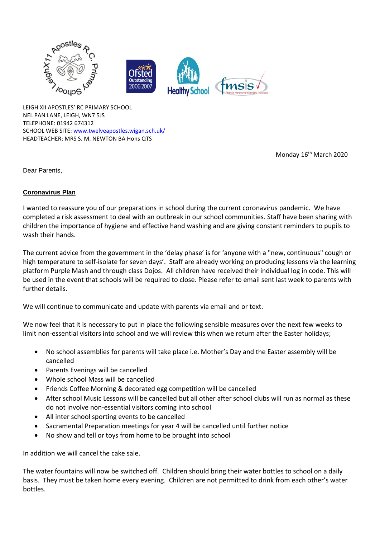

LEIGH XII APOSTLES' RC PRIMARY SCHOOL NEL PAN LANE, LEIGH, WN7 5JS TELEPHONE: 01942 674312 SCHOOL WEB SITE: [www.twelveapostles.wigan.sch.uk/](http://www.twelveapostles.wigan.sch.uk/) HEADTEACHER: MRS S. M. NEWTON BA Hons QTS

Monday 16<sup>th</sup> March 2020

Dear Parents,

## **Coronavirus Plan**

I wanted to reassure you of our preparations in school during the current coronavirus pandemic. We have completed a risk assessment to deal with an outbreak in our school communities. Staff have been sharing with children the importance of hygiene and effective hand washing and are giving constant reminders to pupils to wash their hands.

The current advice from the government in the 'delay phase' is for 'anyone with a "new, continuous" cough or high temperature to self-isolate for seven days'. Staff are already working on producing lessons via the learning platform Purple Mash and through class Dojos. All children have received their individual log in code. This will be used in the event that schools will be required to close. Please refer to email sent last week to parents with further details.

We will continue to communicate and update with parents via email and or text.

We now feel that it is necessary to put in place the following sensible measures over the next few weeks to limit non-essential visitors into school and we will review this when we return after the Easter holidays;

- No school assemblies for parents will take place i.e. Mother's Day and the Easter assembly will be cancelled
- Parents Evenings will be cancelled
- Whole school Mass will be cancelled
- Friends Coffee Morning & decorated egg competition will be cancelled
- After school Music Lessons will be cancelled but all other after school clubs will run as normal as these do not involve non-essential visitors coming into school
- All inter school sporting events to be cancelled
- Sacramental Preparation meetings for year 4 will be cancelled until further notice
- No show and tell or toys from home to be brought into school

In addition we will cancel the cake sale.

The water fountains will now be switched off. Children should bring their water bottles to school on a daily basis. They must be taken home every evening. Children are not permitted to drink from each other's water bottles.